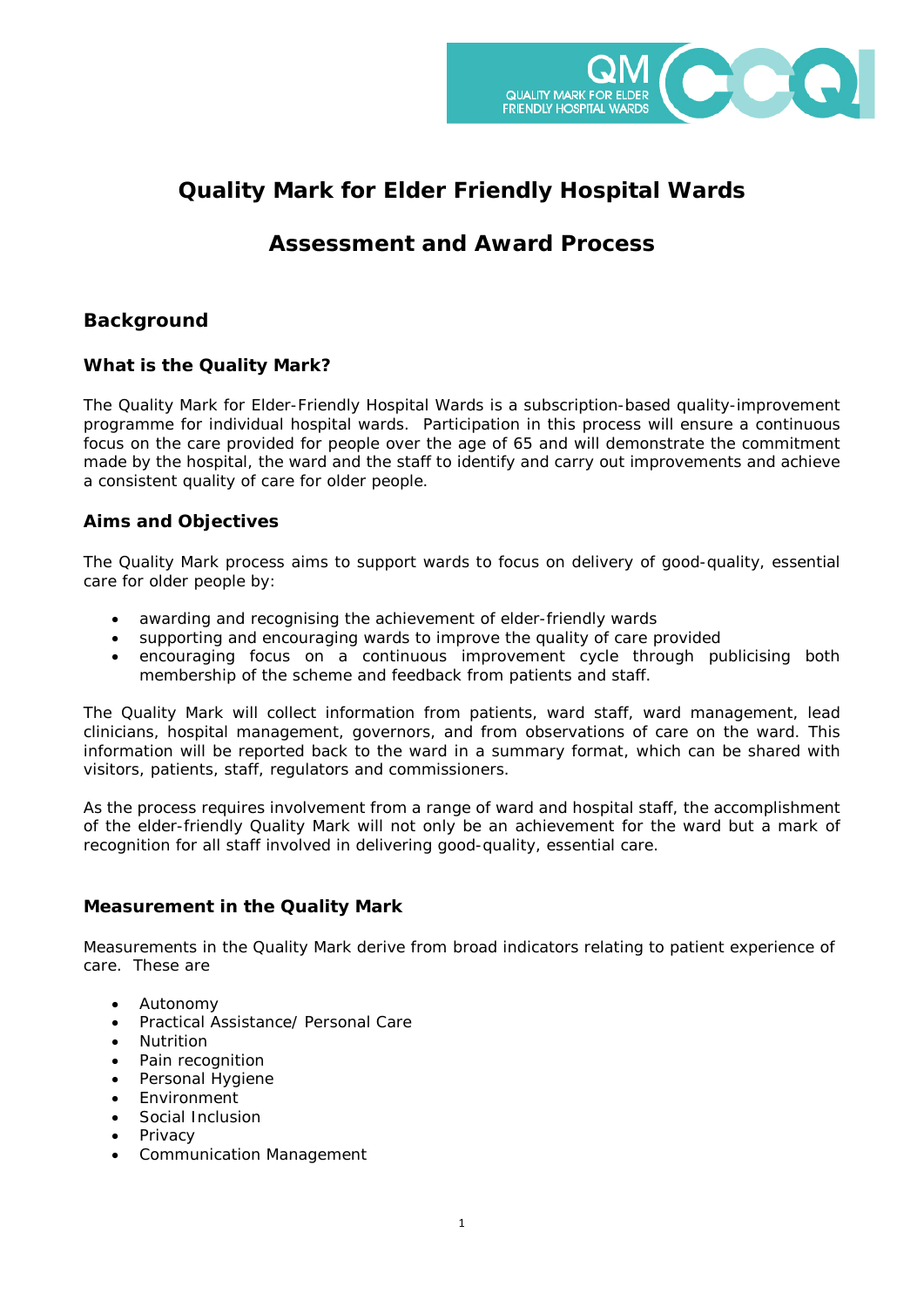

# **Quality Mark for Elder Friendly Hospital Wards**

# **Assessment and Award Process**

# **Background**

# **What is the Quality Mark?**

The Quality Mark for Elder-Friendly Hospital Wards is a subscription-based quality-improvement programme for individual hospital wards. Participation in this process will ensure a continuous focus on the care provided for people over the age of 65 and will demonstrate the commitment made by the hospital, the ward and the staff to identify and carry out improvements and achieve a consistent quality of care for older people.

# **Aims and Objectives**

The Quality Mark process aims to support wards to focus on delivery of good-quality, essential care for older people by:

- awarding and recognising the achievement of elder-friendly wards
- supporting and encouraging wards to improve the quality of care provided
- encouraging focus on a continuous improvement cycle through publicising both membership of the scheme and feedback from patients and staff.

The Quality Mark will collect information from patients, ward staff, ward management, lead clinicians, hospital management, governors, and from observations of care on the ward. This information will be reported back to the ward in a summary format, which can be shared with visitors, patients, staff, regulators and commissioners.

As the process requires involvement from a range of ward and hospital staff, the accomplishment of the elder-friendly Quality Mark will not only be an achievement for the ward but a mark of recognition for all staff involved in delivering good-quality, essential care.

## **Measurement in the Quality Mark**

Measurements in the Quality Mark derive from broad indicators relating to patient experience of care. These are

- Autonomy
- Practical Assistance/ Personal Care
- **Nutrition**
- Pain recognition
- Personal Hygiene
- **Environment**
- Social Inclusion
- **Privacy**
- Communication Management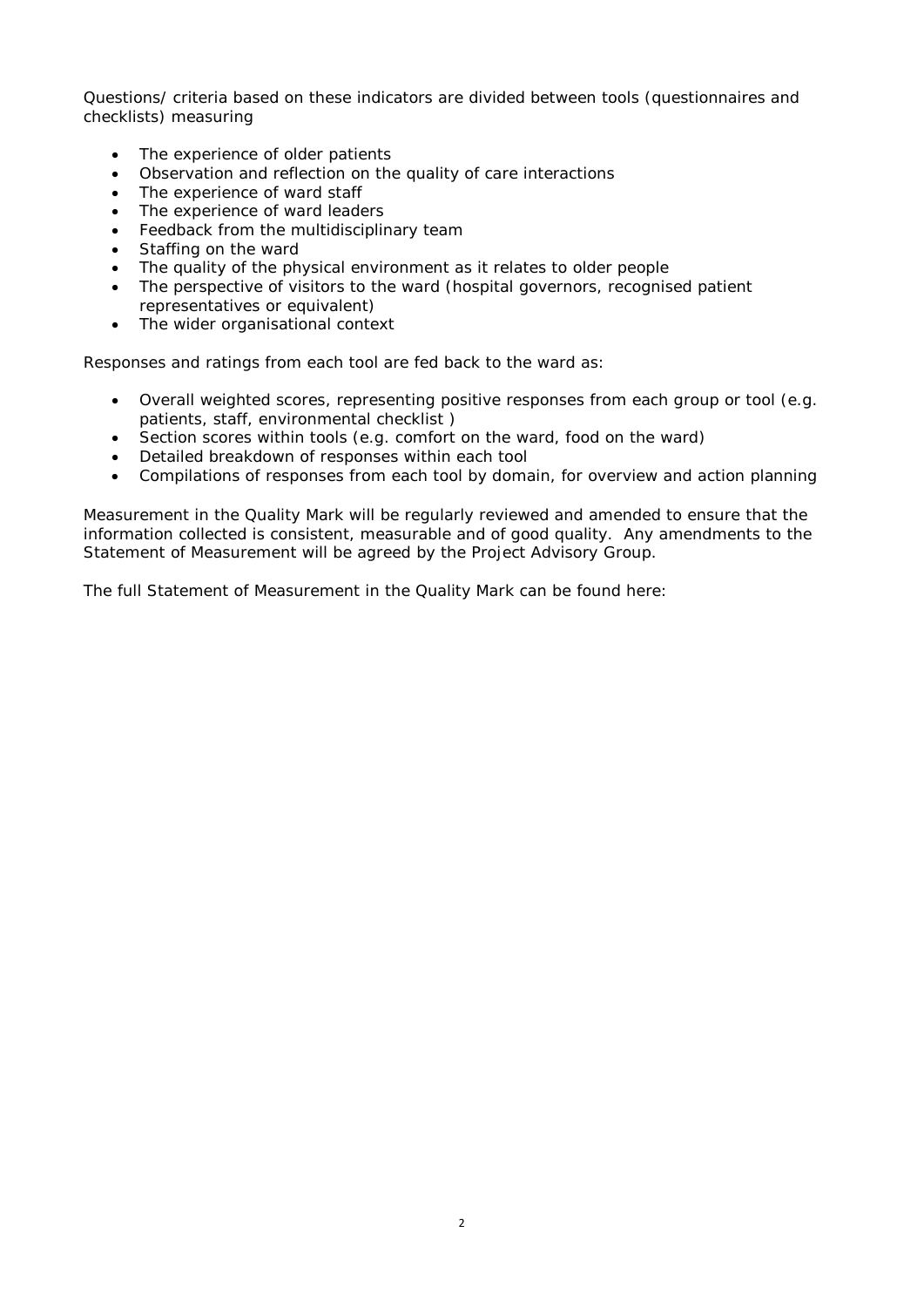Questions/ criteria based on these indicators are divided between tools (questionnaires and checklists) measuring

- The experience of older patients
- Observation and reflection on the quality of care interactions
- The experience of ward staff
- The experience of ward leaders
- Feedback from the multidisciplinary team
- Staffing on the ward
- The quality of the physical environment as it relates to older people
- The perspective of visitors to the ward (hospital governors, recognised patient representatives or equivalent)
- The wider organisational context

Responses and ratings from each tool are fed back to the ward as:

- Overall weighted scores, representing positive responses from each group or tool (e.g. patients, staff, environmental checklist )
- Section scores within tools (e.g. comfort on the ward, food on the ward)
- Detailed breakdown of responses within each tool
- Compilations of responses from each tool by domain, for overview and action planning

Measurement in the Quality Mark will be regularly reviewed and amended to ensure that the information collected is consistent, measurable and of good quality. Any amendments to the Statement of Measurement will be agreed by the Project Advisory Group.

The full Statement of Measurement in the Quality Mark can be found here: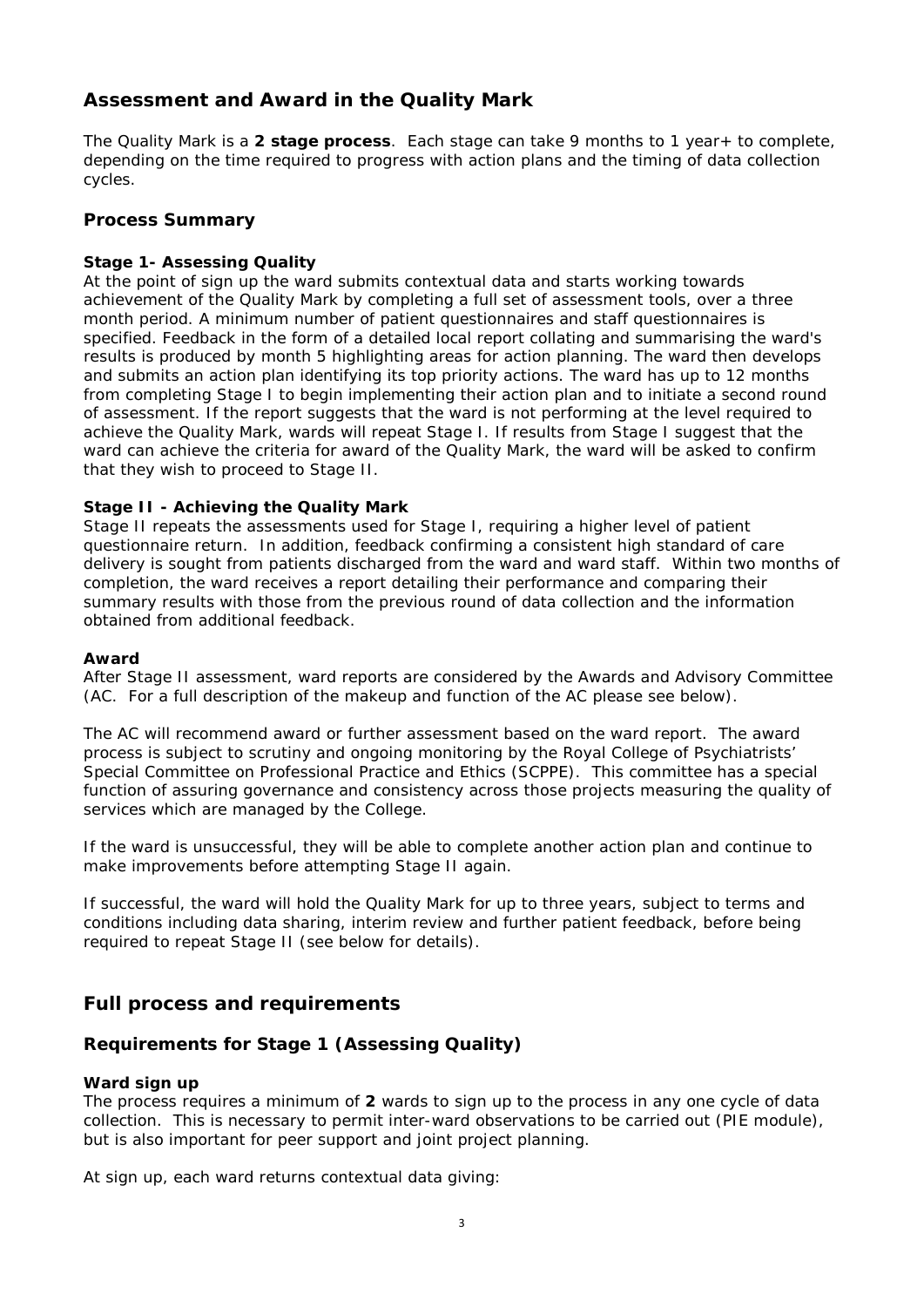# **Assessment and Award in the Quality Mark**

The Quality Mark is a **2 stage process**. Each stage can take 9 months to 1 year+ to complete, depending on the time required to progress with action plans and the timing of data collection cycles.

## **Process Summary**

### *Stage 1- Assessing Quality*

At the point of sign up the ward submits contextual data and starts working towards achievement of the Quality Mark by completing a full set of assessment tools, over a three month period. A minimum number of patient questionnaires and staff questionnaires is specified. Feedback in the form of a detailed local report collating and summarising the ward's results is produced by month 5 highlighting areas for action planning. The ward then develops and submits an action plan identifying its top priority actions. The ward has up to 12 months from completing Stage I to begin implementing their action plan and to initiate a second round of assessment. If the report suggests that the ward is not performing at the level required to achieve the Quality Mark, wards will repeat Stage I. If results from Stage I suggest that the ward can achieve the criteria for award of the Quality Mark, the ward will be asked to confirm that they wish to proceed to Stage II.

## *Stage II - Achieving the Quality Mark*

Stage II repeats the assessments used for Stage I, requiring a higher level of patient questionnaire return. In addition, feedback confirming a consistent high standard of care delivery is sought from patients discharged from the ward and ward staff. Within two months of completion, the ward receives a report detailing their performance and comparing their summary results with those from the previous round of data collection and the information obtained from additional feedback.

#### *Award*

After Stage II assessment, ward reports are considered by the Awards and Advisory Committee (AC. For a full description of the makeup and function of the AC please see below).

The AC will recommend award or further assessment based on the ward report. The award process is subject to scrutiny and ongoing monitoring by the Royal College of Psychiatrists' Special Committee on Professional Practice and Ethics (SCPPE). This committee has a special function of assuring governance and consistency across those projects measuring the quality of services which are managed by the College.

If the ward is unsuccessful, they will be able to complete another action plan and continue to make improvements before attempting Stage II again.

If successful, the ward will hold the Quality Mark for up to three years, subject to terms and conditions including data sharing, interim review and further patient feedback, before being required to repeat Stage II (see below for details).

# **Full process and requirements**

# **Requirements for Stage 1 (Assessing Quality)**

#### *Ward sign up*

The process requires a minimum of **2** wards to sign up to the process in any one cycle of data collection. This is necessary to permit inter-ward observations to be carried out (PIE module), but is also important for peer support and joint project planning.

At sign up, each ward returns contextual data giving: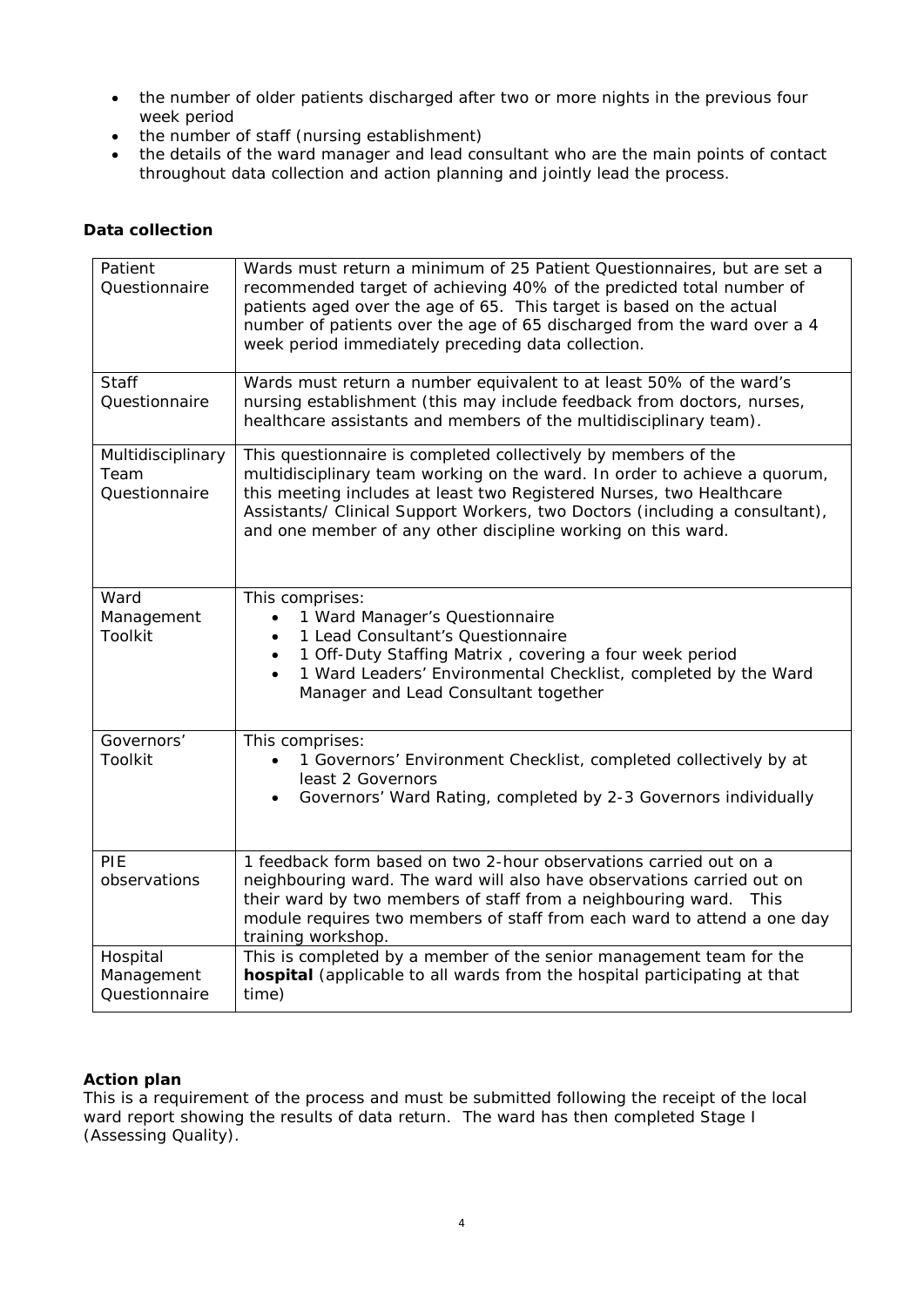- the number of older patients discharged after two or more nights in the previous four week period
- the number of staff (nursing establishment)
- the details of the ward manager and lead consultant who are the main points of contact throughout data collection and action planning and jointly lead the process.

### *Data collection*

| Patient<br>Questionnaire                   | Wards must return a minimum of 25 Patient Questionnaires, but are set a<br>recommended target of achieving 40% of the predicted total number of<br>patients aged over the age of 65. This target is based on the actual<br>number of patients over the age of 65 discharged from the ward over a 4<br>week period immediately preceding data collection.           |
|--------------------------------------------|--------------------------------------------------------------------------------------------------------------------------------------------------------------------------------------------------------------------------------------------------------------------------------------------------------------------------------------------------------------------|
| <b>Staff</b><br>Questionnaire              | Wards must return a number equivalent to at least 50% of the ward's<br>nursing establishment (this may include feedback from doctors, nurses,<br>healthcare assistants and members of the multidisciplinary team).                                                                                                                                                 |
| Multidisciplinary<br>Team<br>Questionnaire | This questionnaire is completed collectively by members of the<br>multidisciplinary team working on the ward. In order to achieve a quorum,<br>this meeting includes at least two Registered Nurses, two Healthcare<br>Assistants/ Clinical Support Workers, two Doctors (including a consultant),<br>and one member of any other discipline working on this ward. |
| Ward<br>Management<br>Toolkit              | This comprises:<br>1 Ward Manager's Questionnaire<br>$\bullet$<br>1 Lead Consultant's Questionnaire<br>1 Off-Duty Staffing Matrix, covering a four week period<br>$\bullet$<br>1 Ward Leaders' Environmental Checklist, completed by the Ward<br>$\bullet$<br>Manager and Lead Consultant together                                                                 |
| Governors'<br><b>Toolkit</b>               | This comprises:<br>1 Governors' Environment Checklist, completed collectively by at<br>least 2 Governors<br>Governors' Ward Rating, completed by 2-3 Governors individually                                                                                                                                                                                        |
| PIE<br>observations                        | 1 feedback form based on two 2-hour observations carried out on a<br>neighbouring ward. The ward will also have observations carried out on<br>their ward by two members of staff from a neighbouring ward.<br>- This<br>module requires two members of staff from each ward to attend a one day<br>training workshop.                                             |
| Hospital<br>Management<br>Questionnaire    | This is completed by a member of the senior management team for the<br>hospital (applicable to all wards from the hospital participating at that<br>time)                                                                                                                                                                                                          |

#### *Action plan*

This is a requirement of the process and must be submitted following the receipt of the local ward report showing the results of data return. The ward has then completed Stage I (Assessing Quality).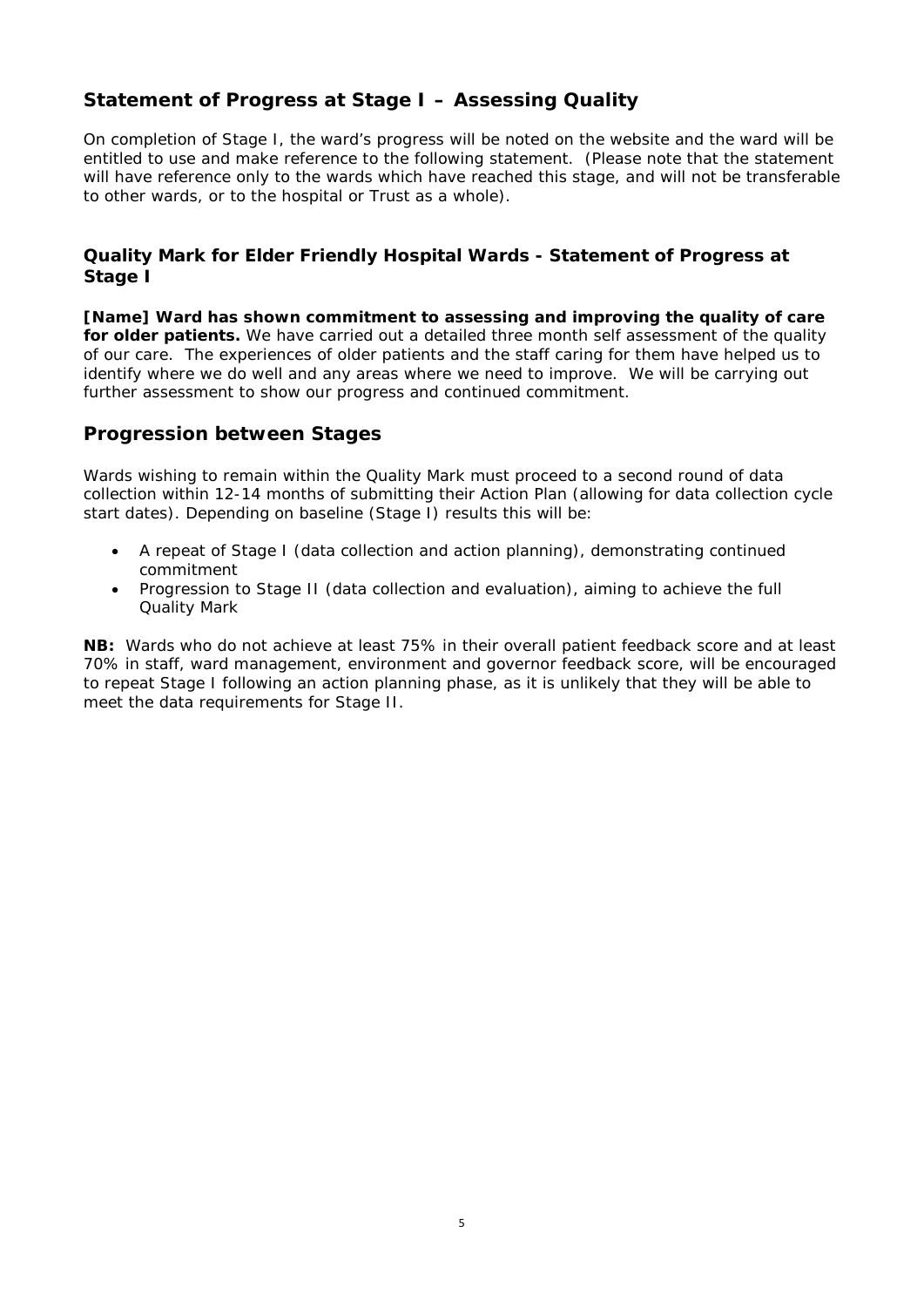# **Statement of Progress at Stage I – Assessing Quality**

On completion of Stage I, the ward's progress will be noted on the website and the ward will be entitled to use and make reference to the following statement. (Please note that the statement will have reference only to the wards which have reached this stage, and will not be transferable to other wards, or to the hospital or Trust as a whole).

# **Quality Mark for Elder Friendly Hospital Wards - Statement of Progress at Stage I**

**[Name] Ward has shown commitment to assessing and improving the quality of care for older patients.** We have carried out a detailed three month self assessment of the quality of our care. The experiences of older patients and the staff caring for them have helped us to identify where we do well and any areas where we need to improve. We will be carrying out further assessment to show our progress and continued commitment.

# **Progression between Stages**

Wards wishing to remain within the Quality Mark must proceed to a second round of data collection within 12-14 months of submitting their Action Plan (allowing for data collection cycle start dates). Depending on baseline (Stage I) results this will be:

- A repeat of Stage I (data collection and action planning), demonstrating continued commitment
- Progression to Stage II (data collection and evaluation), aiming to achieve the full Quality Mark

**NB:** Wards who do not achieve at least 75% in their overall patient feedback score and at least 70% in staff, ward management, environment and governor feedback score, will be encouraged to repeat Stage I following an action planning phase, as it is unlikely that they will be able to meet the data requirements for Stage II.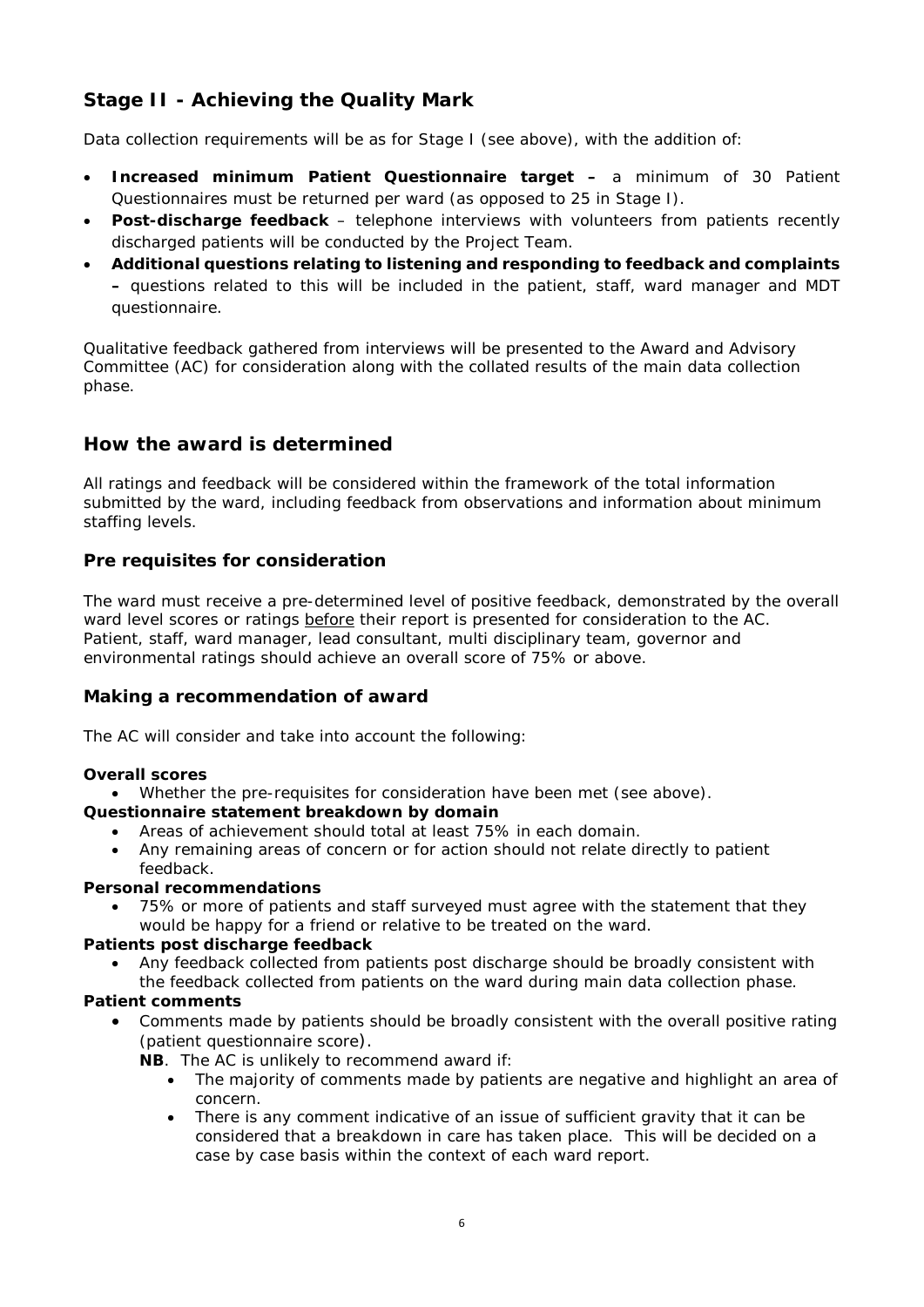# **Stage II - Achieving the Quality Mark**

Data collection requirements will be as for Stage I (see above), with the addition of:

- **Increased minimum Patient Questionnaire target –** a minimum of 30 Patient Questionnaires must be returned per ward (as opposed to 25 in Stage I).
- **Post-discharge feedback**  telephone interviews with volunteers from patients recently discharged patients will be conducted by the Project Team.
- **Additional questions relating to listening and responding to feedback and complaints –** questions related to this will be included in the patient, staff, ward manager and MDT questionnaire.

Qualitative feedback gathered from interviews will be presented to the Award and Advisory Committee (AC) for consideration along with the collated results of the main data collection phase.

# **How the award is determined**

All ratings and feedback will be considered within the framework of the total information submitted by the ward, including feedback from observations and information about minimum staffing levels.

# **Pre requisites for consideration**

The ward must receive a pre-determined level of positive feedback, demonstrated by the overall ward level scores or ratings before their report is presented for consideration to the AC. Patient, staff, ward manager, lead consultant, multi disciplinary team, governor and environmental ratings should achieve an overall score of 75% or above.

## **Making a recommendation of award**

The AC will consider and take into account the following:

## *Overall scores*

• Whether the pre-requisites for consideration have been met (see above).

## *Questionnaire statement breakdown by domain*

- Areas of achievement should total at least 75% in each domain.
- Any remaining areas of concern or for action should not relate directly to patient feedback.

#### *Personal recommendations*

• 75% or more of patients and staff surveyed must agree with the statement that they would be happy for a friend or relative to be treated on the ward.

## *Patients post discharge feedback*

• Any feedback collected from patients post discharge should be broadly consistent with the feedback collected from patients on the ward during main data collection phase.

## *Patient comments*

• Comments made by patients should be broadly consistent with the overall positive rating (patient questionnaire score).

**NB**. The AC is unlikely to recommend award if:

- The majority of comments made by patients are negative and highlight an area of concern.
- There is any comment indicative of an issue of sufficient gravity that it can be considered that a breakdown in care has taken place. This will be decided on a case by case basis within the context of each ward report.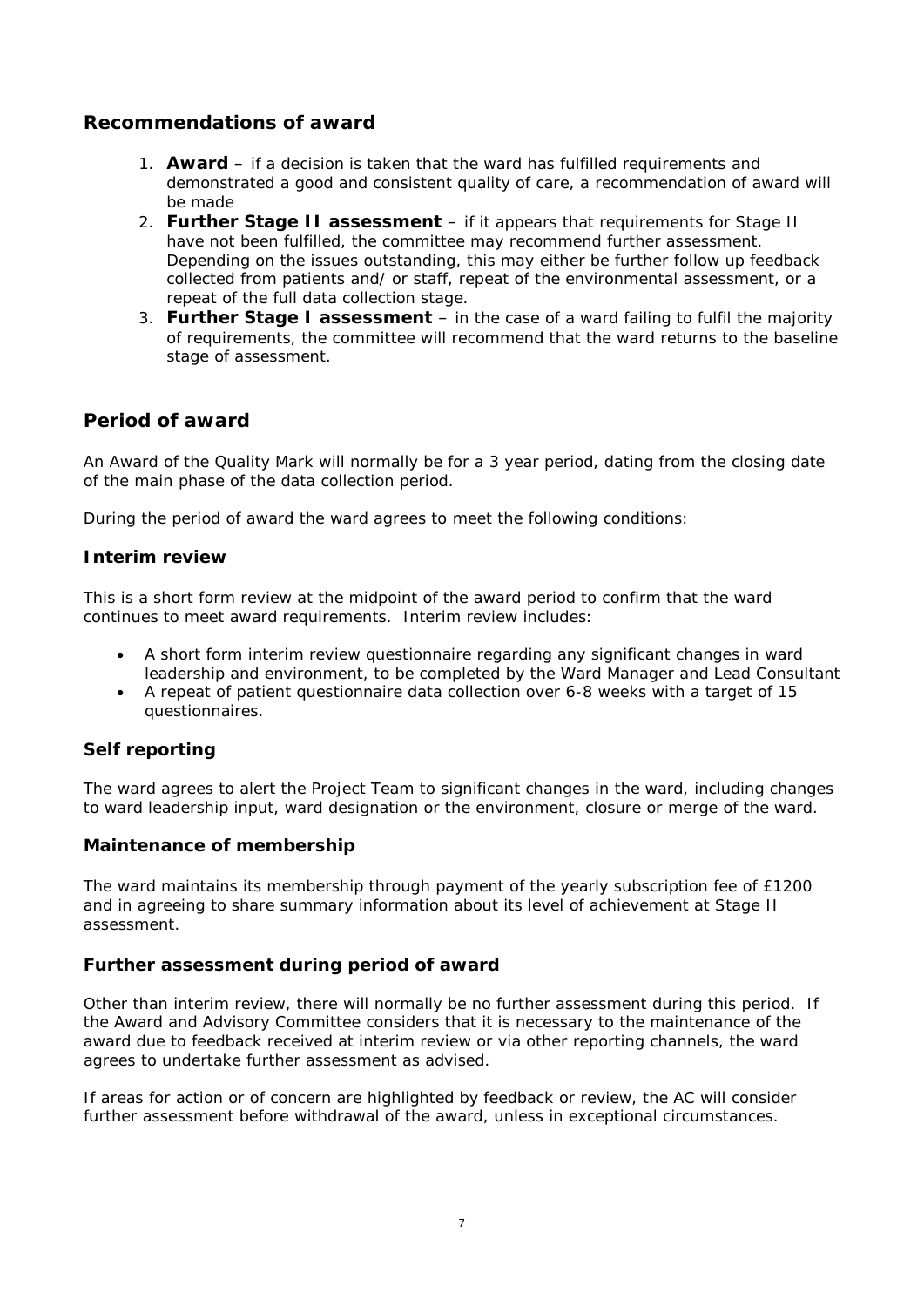# **Recommendations of award**

- 1. **Award**  if a decision is taken that the ward has fulfilled requirements and demonstrated a good and consistent quality of care, a recommendation of award will be made
- 2. **Further Stage II assessment** if it appears that requirements for Stage II have not been fulfilled, the committee may recommend further assessment. Depending on the issues outstanding, this may either be further follow up feedback collected from patients and/ or staff, repeat of the environmental assessment, or a repeat of the full data collection stage.
- 3. **Further Stage I assessment** in the case of a ward failing to fulfil the majority of requirements, the committee will recommend that the ward returns to the baseline stage of assessment.

# **Period of award**

An Award of the Quality Mark will normally be for a 3 year period, dating from the closing date of the main phase of the data collection period.

During the period of award the ward agrees to meet the following conditions:

# **Interim review**

This is a short form review at the midpoint of the award period to confirm that the ward continues to meet award requirements. Interim review includes:

- A short form interim review questionnaire regarding any significant changes in ward leadership and environment, to be completed by the Ward Manager and Lead Consultant
- A repeat of patient questionnaire data collection over 6-8 weeks with a target of 15 questionnaires.

# **Self reporting**

The ward agrees to alert the Project Team to significant changes in the ward, including changes to ward leadership input, ward designation or the environment, closure or merge of the ward.

## **Maintenance of membership**

The ward maintains its membership through payment of the yearly subscription fee of £1200 and in agreeing to share summary information about its level of achievement at Stage II assessment.

## **Further assessment during period of award**

Other than interim review, there will normally be no further assessment during this period. If the Award and Advisory Committee considers that it is necessary to the maintenance of the award due to feedback received at interim review or via other reporting channels, the ward agrees to undertake further assessment as advised.

If areas for action or of concern are highlighted by feedback or review, the AC will consider further assessment before withdrawal of the award, unless in exceptional circumstances.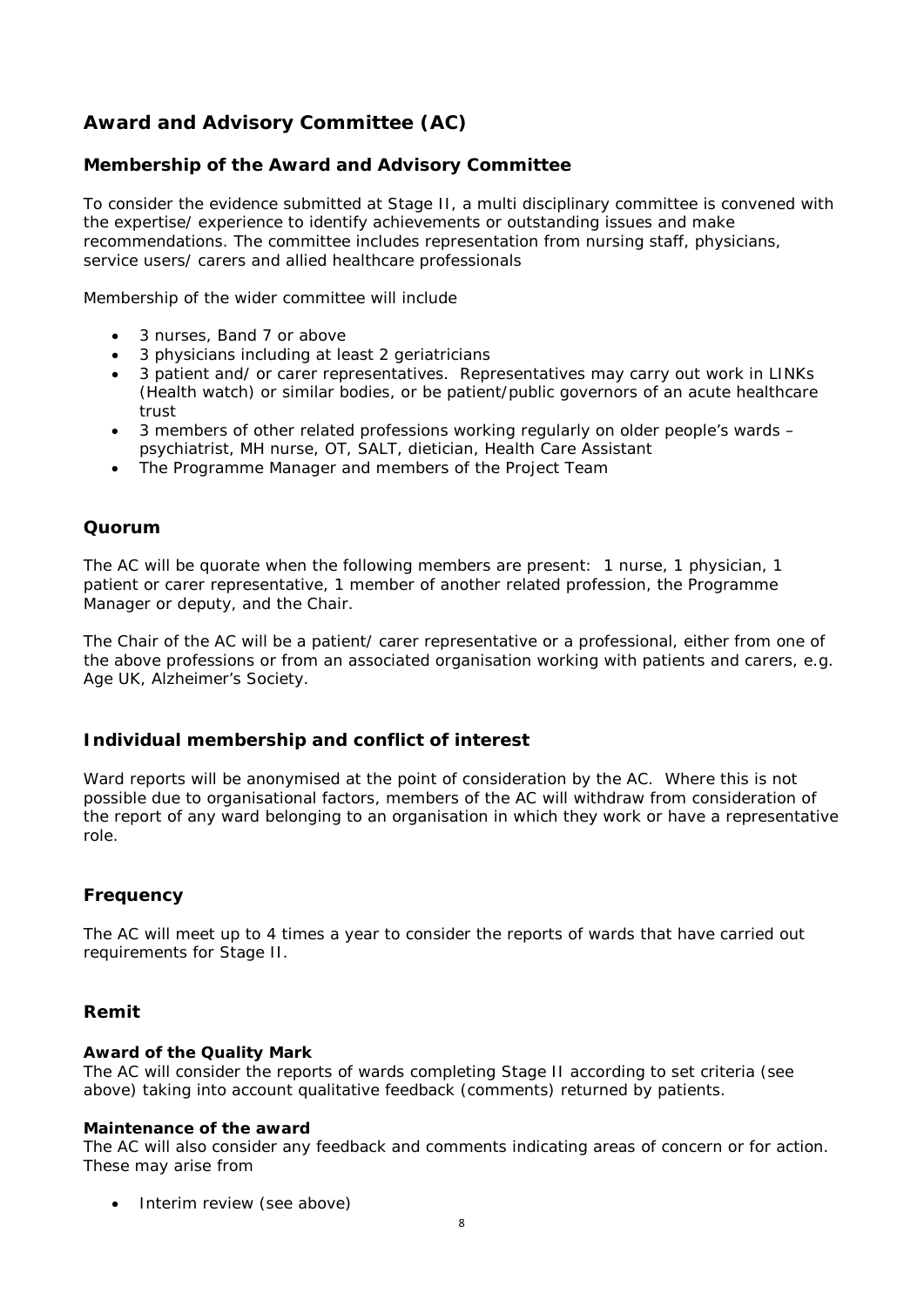# **Award and Advisory Committee (AC)**

# **Membership of the Award and Advisory Committee**

To consider the evidence submitted at Stage II, a multi disciplinary committee is convened with the expertise/ experience to identify achievements or outstanding issues and make recommendations. The committee includes representation from nursing staff, physicians, service users/ carers and allied healthcare professionals

Membership of the wider committee will include

- 3 nurses, Band 7 or above
- 3 physicians including at least 2 geriatricians
- 3 patient and/ or carer representatives. Representatives may carry out work in LINKs (Health watch) or similar bodies, or be patient/public governors of an acute healthcare trust
- 3 members of other related professions working regularly on older people's wards psychiatrist, MH nurse, OT, SALT, dietician, Health Care Assistant
- The Programme Manager and members of the Project Team

### **Quorum**

The AC will be quorate when the following members are present: 1 nurse, 1 physician, 1 patient or carer representative, 1 member of another related profession, the Programme Manager or deputy, and the Chair.

The Chair of the AC will be a patient/ carer representative or a professional, either from one of the above professions or from an associated organisation working with patients and carers, e.g. Age UK, Alzheimer's Society.

## **Individual membership and conflict of interest**

Ward reports will be anonymised at the point of consideration by the AC. Where this is not possible due to organisational factors, members of the AC will withdraw from consideration of the report of any ward belonging to an organisation in which they work or have a representative role.

## **Frequency**

The AC will meet up to 4 times a year to consider the reports of wards that have carried out requirements for Stage II.

#### **Remit**

#### *Award of the Quality Mark*

The AC will consider the reports of wards completing Stage II according to set criteria (see above) taking into account qualitative feedback (comments) returned by patients.

#### *Maintenance of the award*

The AC will also consider any feedback and comments indicating areas of concern or for action. These may arise from

• Interim review (see above)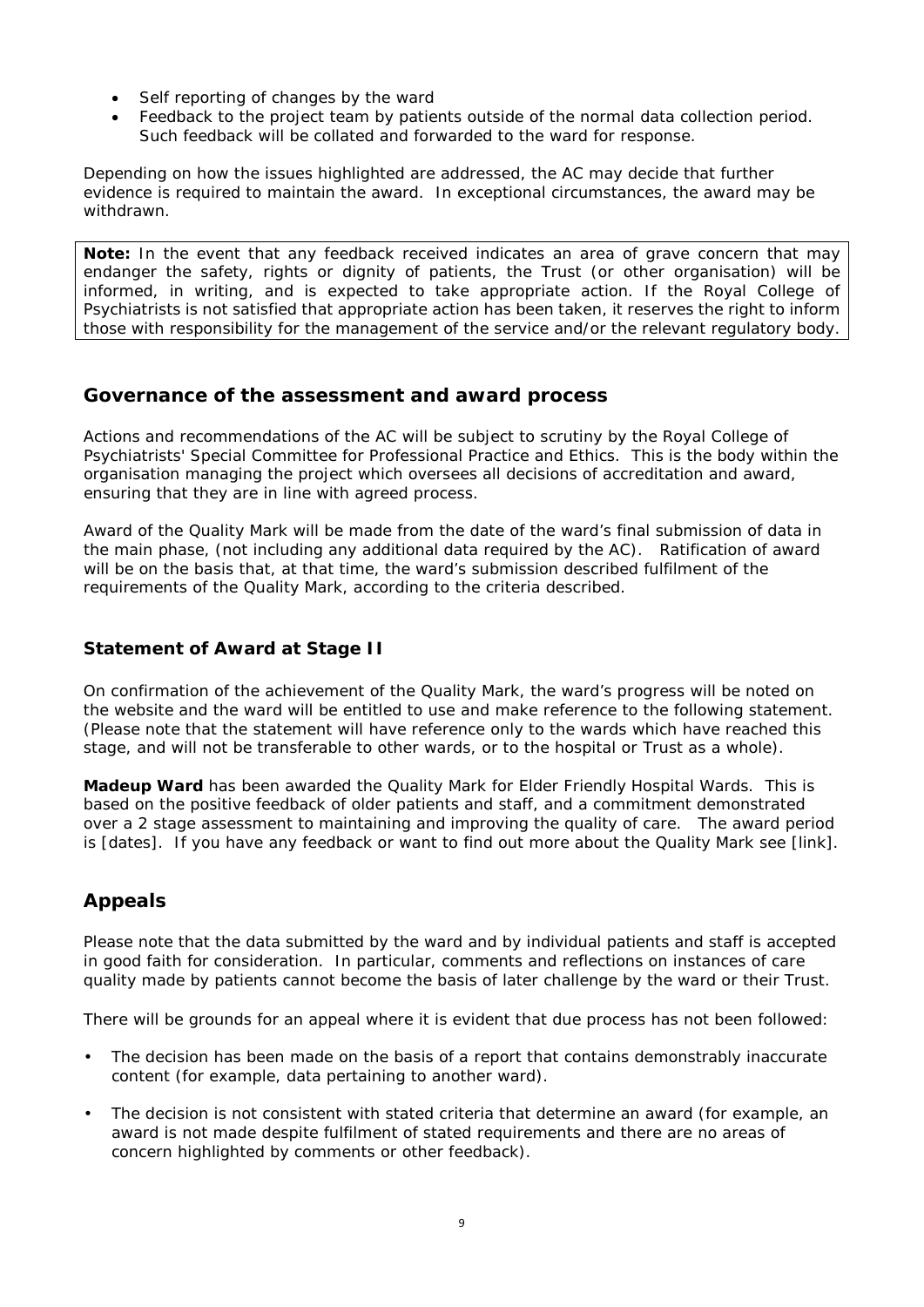- Self reporting of changes by the ward
- Feedback to the project team by patients outside of the normal data collection period. Such feedback will be collated and forwarded to the ward for response.

Depending on how the issues highlighted are addressed, the AC may decide that further evidence is required to maintain the award. In exceptional circumstances, the award may be withdrawn.

*Note: In the event that any feedback received indicates an area of grave concern that may endanger the safety, rights or dignity of patients, the Trust (or other organisation) will be informed, in writing, and is expected to take appropriate action. If the Royal College of Psychiatrists is not satisfied that appropriate action has been taken, it reserves the right to inform those with responsibility for the management of the service and/or the relevant regulatory body.*

# **Governance of the assessment and award process**

Actions and recommendations of the AC will be subject to scrutiny by the Royal College of Psychiatrists' Special Committee for Professional Practice and Ethics. This is the body within the organisation managing the project which oversees all decisions of accreditation and award, ensuring that they are in line with agreed process.

Award of the Quality Mark will be made from the date of the ward's final submission of data in the main phase, (not including any additional data required by the AC). Ratification of award will be on the basis that, at that time, the ward's submission described fulfilment of the requirements of the Quality Mark, according to the criteria described.

# **Statement of Award at Stage II**

On confirmation of the achievement of the Quality Mark, the ward's progress will be noted on the website and the ward will be entitled to use and make reference to the following statement. (Please note that the statement will have reference only to the wards which have reached this stage, and will not be transferable to other wards, or to the hospital or Trust as a whole).

**Madeup Ward** has been awarded the Quality Mark for Elder Friendly Hospital Wards. This is based on the positive feedback of older patients and staff, and a commitment demonstrated over a 2 stage assessment to maintaining and improving the quality of care. The award period is [dates]. *If you have any feedback or want to find out more about the Quality Mark see [link]*.

# **Appeals**

Please note that the data submitted by the ward and by individual patients and staff is accepted in good faith for consideration. In particular, comments and reflections on instances of care quality made by patients cannot become the basis of later challenge by the ward or their Trust.

There will be grounds for an appeal where it is evident that due process has not been followed:

- The decision has been made on the basis of a report that contains demonstrably inaccurate content (for example, data pertaining to another ward).
- The decision is not consistent with stated criteria that determine an award (for example, an award is not made despite fulfilment of stated requirements and there are no areas of concern highlighted by comments or other feedback).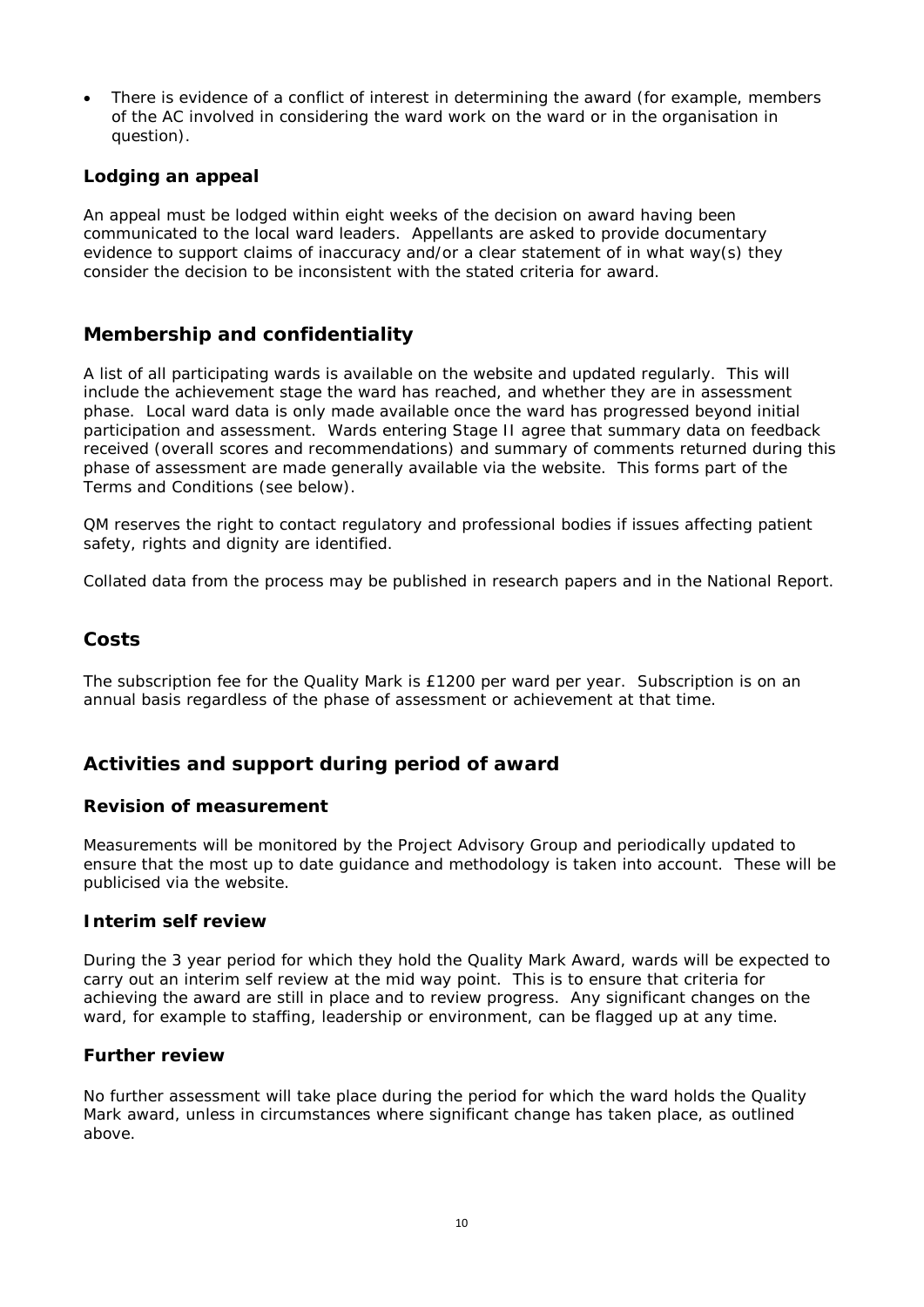There is evidence of a conflict of interest in determining the award (for example, members of the AC involved in considering the ward work on the ward or in the organisation in question).

# **Lodging an appeal**

An appeal must be lodged within eight weeks of the decision on award having been communicated to the local ward leaders. Appellants are asked to provide documentary evidence to support claims of inaccuracy and/or a clear statement of in what way(s) they consider the decision to be inconsistent with the stated criteria for award.

# **Membership and confidentiality**

A list of all participating wards is available on the website and updated regularly. This will include the achievement stage the ward has reached, and whether they are in assessment phase. Local ward data is only made available once the ward has progressed beyond initial participation and assessment. Wards entering Stage II agree that summary data on feedback received (overall scores and recommendations) and summary of comments returned during this phase of assessment are made generally available via the website. This forms part of the Terms and Conditions (see below).

QM reserves the right to contact regulatory and professional bodies if issues affecting patient safety, rights and dignity are identified.

Collated data from the process may be published in research papers and in the National Report.

# **Costs**

The subscription fee for the Quality Mark is £1200 per ward per year. Subscription is on an annual basis regardless of the phase of assessment or achievement at that time.

# **Activities and support during period of award**

## **Revision of measurement**

Measurements will be monitored by the Project Advisory Group and periodically updated to ensure that the most up to date guidance and methodology is taken into account. These will be publicised via the website.

## **Interim self review**

During the 3 year period for which they hold the Quality Mark Award, wards will be expected to carry out an interim self review at the mid way point. This is to ensure that criteria for achieving the award are still in place and to review progress. Any significant changes on the ward, for example to staffing, leadership or environment, can be flagged up at any time.

## **Further review**

No further assessment will take place during the period for which the ward holds the Quality Mark award, unless in circumstances where significant change has taken place, as outlined above.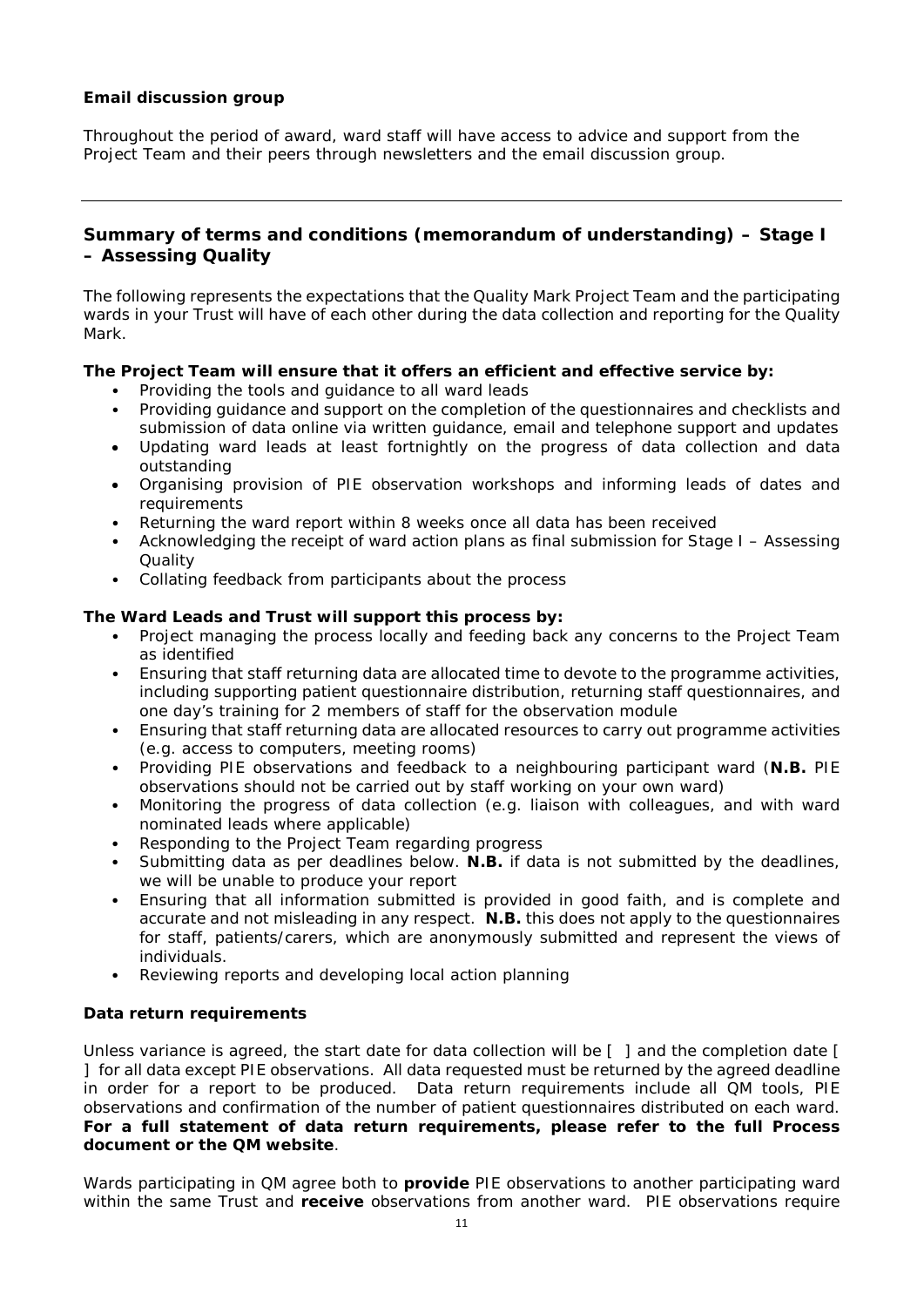### **Email discussion group**

Throughout the period of award, ward staff will have access to advice and support from the Project Team and their peers through newsletters and the email discussion group.

# **Summary of terms and conditions (memorandum of understanding) – Stage I – Assessing Quality**

The following represents the expectations that the Quality Mark Project Team and the participating wards in your Trust will have of each other during the data collection and reporting for the Quality Mark.

### **The Project Team will ensure that it offers an efficient and effective service by:**

- Providing the tools and guidance to all ward leads
- Providing guidance and support on the completion of the questionnaires and checklists and submission of data online via written guidance, email and telephone support and updates
- Updating ward leads at least fortnightly on the progress of data collection and data outstanding
- Organising provision of PIE observation workshops and informing leads of dates and requirements
- Returning the ward report within 8 weeks once all data has been received
- Acknowledging the receipt of ward action plans as final submission for Stage I Assessing **Quality**
- Collating feedback from participants about the process

### **The Ward Leads and Trust will support this process by:**

- Project managing the process locally and feeding back any concerns to the Project Team as identified
- Ensuring that staff returning data are allocated time to devote to the programme activities, including supporting patient questionnaire distribution, returning staff questionnaires, and one day's training for 2 members of staff for the observation module
- Ensuring that staff returning data are allocated resources to carry out programme activities (e.g. access to computers, meeting rooms)
- Providing PIE observations and feedback to a neighbouring participant ward (**N.B.** PIE observations should not be carried out by staff working on your own ward)
- Monitoring the progress of data collection (e.g. liaison with colleagues, and with ward nominated leads where applicable)
- Responding to the Project Team regarding progress
- Submitting data as per deadlines below. **N.B.** if data is not submitted by the deadlines, we will be unable to produce your report
- Ensuring that all information submitted is provided in good faith, and is complete and accurate and not misleading in any respect. **N.B.** this does not apply to the questionnaires for staff, patients/carers, which are anonymously submitted and represent the views of individuals.
- Reviewing reports and developing local action planning

#### **Data return requirements**

Unless variance is agreed, the start date for data collection will be [ ] and the completion date [ ] for all data except PIE observations. All data requested must be returned by the agreed deadline in order for a report to be produced. Data return requirements include all QM tools, PIE observations and confirmation of the number of patient questionnaires distributed on each ward. **For a full statement of data return requirements, please refer to the full Process document or the QM website**.

Wards participating in QM agree both to **provide** PIE observations to another participating ward within the same Trust and **receive** observations from another ward. PIE observations require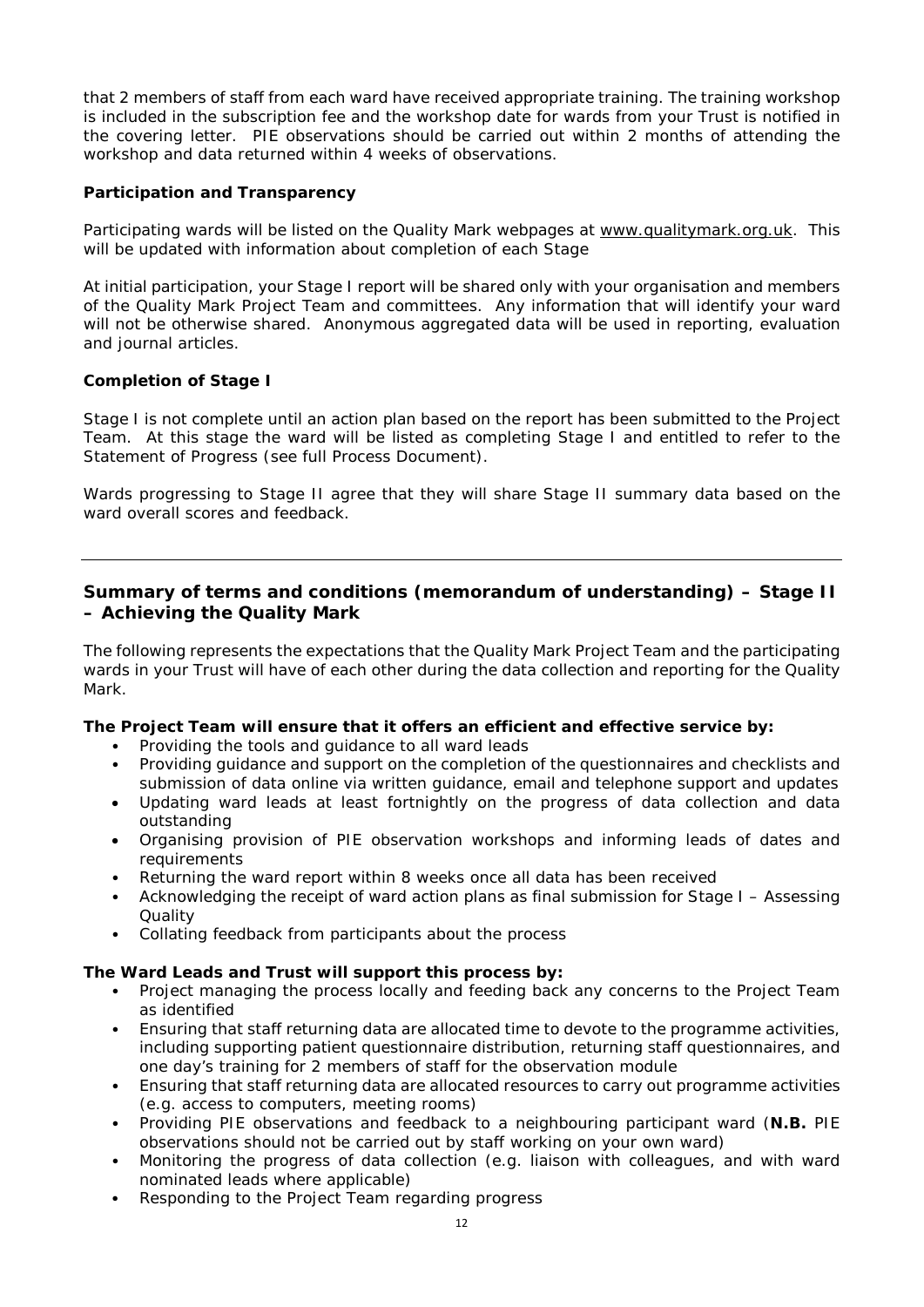that 2 members of staff from each ward have received appropriate training. The training workshop is included in the subscription fee and the workshop date for wards from your Trust is notified in the covering letter. PIE observations should be carried out within 2 months of attending the workshop and data returned within 4 weeks of observations.

## **Participation and Transparency**

Participating wards will be listed on the Quality Mark webpages at [www.qualitymark.org.uk.](http://www.qualitymark.org.uk/) This will be updated with information about completion of each Stage

At initial participation, your Stage I report will be shared only with your organisation and members of the Quality Mark Project Team and committees. Any information that will identify your ward will not be otherwise shared. Anonymous aggregated data will be used in reporting, evaluation and journal articles.

### **Completion of Stage I**

Stage I is not complete until an action plan based on the report has been submitted to the Project Team. At this stage the ward will be listed as completing Stage I and entitled to refer to the Statement of Progress (see full Process Document).

Wards progressing to Stage II agree that they will share Stage II summary data based on the ward overall scores and feedback.

## **Summary of terms and conditions (memorandum of understanding) – Stage II – Achieving the Quality Mark**

The following represents the expectations that the Quality Mark Project Team and the participating wards in your Trust will have of each other during the data collection and reporting for the Quality Mark.

#### **The Project Team will ensure that it offers an efficient and effective service by:**

- Providing the tools and guidance to all ward leads
- Providing guidance and support on the completion of the questionnaires and checklists and submission of data online via written guidance, email and telephone support and updates
- Updating ward leads at least fortnightly on the progress of data collection and data outstanding
- Organising provision of PIE observation workshops and informing leads of dates and requirements
- Returning the ward report within 8 weeks once all data has been received
- Acknowledging the receipt of ward action plans as final submission for Stage I Assessing **Ouality**
- Collating feedback from participants about the process

#### **The Ward Leads and Trust will support this process by:**

- Project managing the process locally and feeding back any concerns to the Project Team as identified
- Ensuring that staff returning data are allocated time to devote to the programme activities, including supporting patient questionnaire distribution, returning staff questionnaires, and one day's training for 2 members of staff for the observation module
- Ensuring that staff returning data are allocated resources to carry out programme activities (e.g. access to computers, meeting rooms)
- Providing PIE observations and feedback to a neighbouring participant ward (**N.B.** PIE observations should not be carried out by staff working on your own ward)
- Monitoring the progress of data collection (e.g. liaison with colleagues, and with ward nominated leads where applicable)
- Responding to the Project Team regarding progress